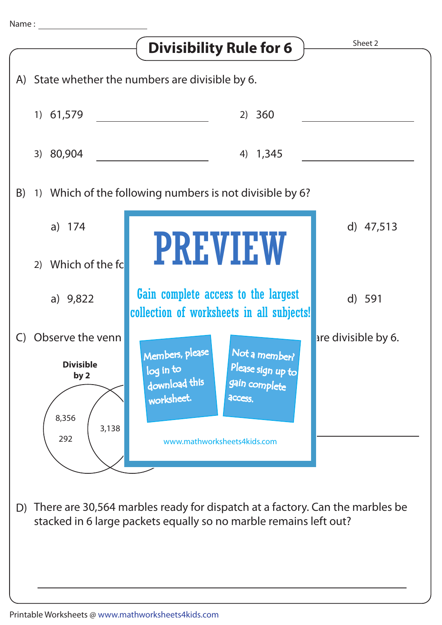